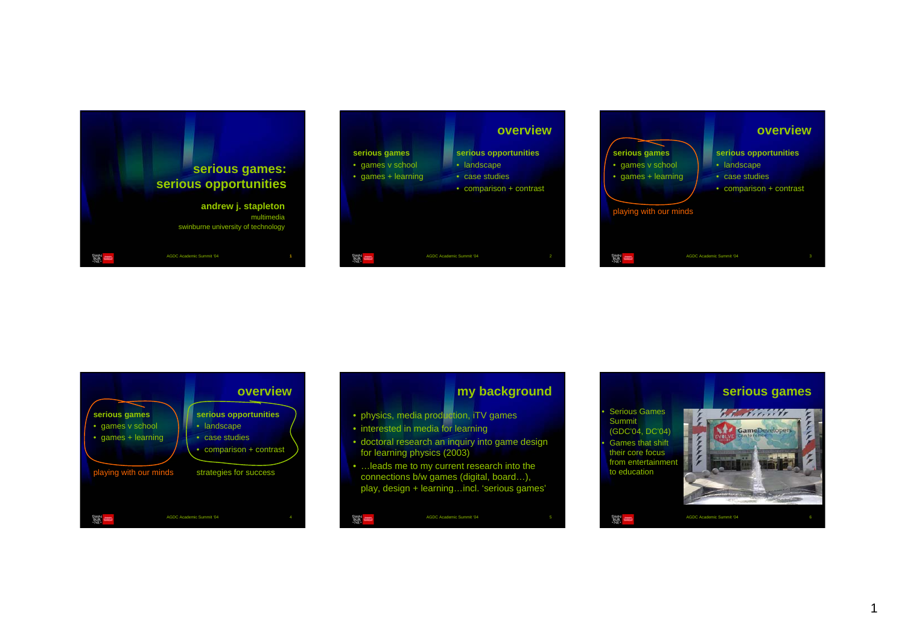





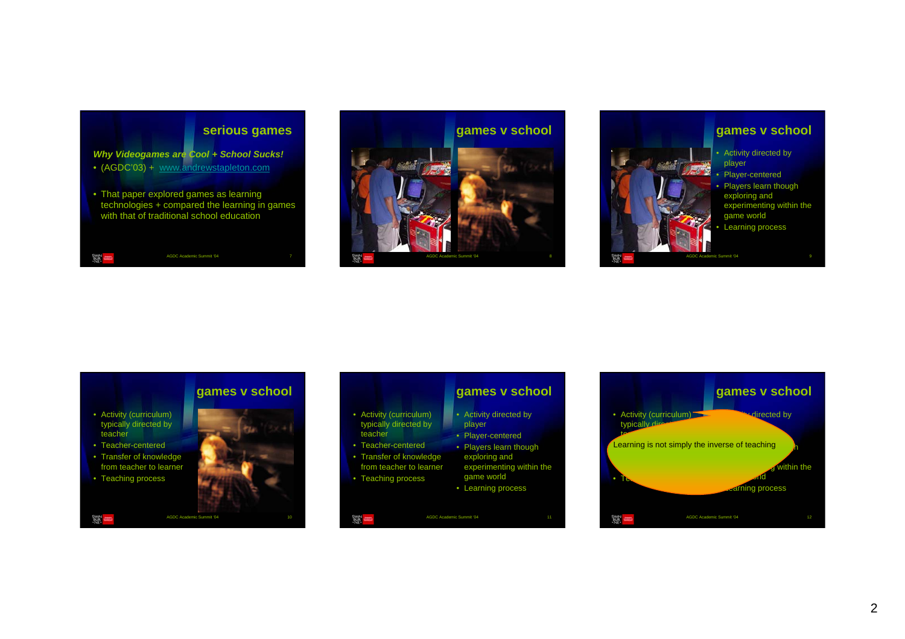# **serious games** *Why Videogames are Cool + School Sucks!* • (AGDC'03) + www.andrewstapleton.com • That paper explored games as learning technologies + compared the learning in games with that of traditional school education

AGDC Academic Summit '04 7

AGDC Academic Summit '04

AGDC Academic Summit '04 8**games v school**



# **games v school**

• Activity (curriculum) typically directed by teacher

実用

- Teacher-centered
- Transfer of knowledge from teacher to learner
- Teaching process

翼一

- Activity (curriculum)
- typically directed by teacher
- Teacher-centered
- Transfer of knowledge from teacher to learner
- Teaching process

### **games v school**

- Activity directed by player
- Player-centered
- Players learn though exploring and
- experimenting within the game world
	- Learning process
- 翼兽 AGDC Academic Summit '04

### **games v school Adirected by** • Activity (curriculum) typically directed by  $\sim$ **Player-centers**<br>Learning is not simply the inverse of teaching **Learning is not simp** within the •game world world world world world world world world world world world world world world world world world world world world world world world world world world world world world world world world world world world world w Teaching processes ming process AGDC Academic Summit '04 建自

2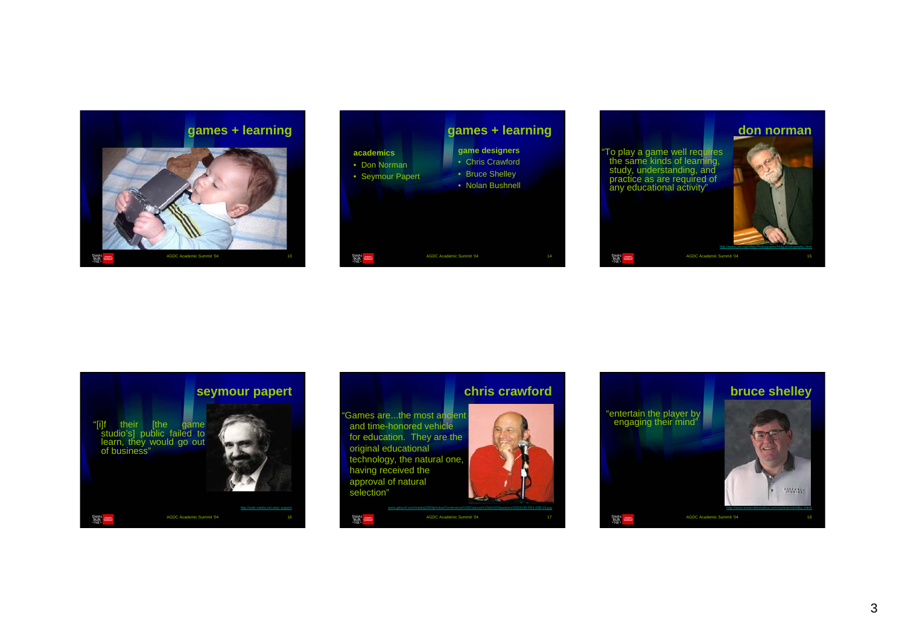













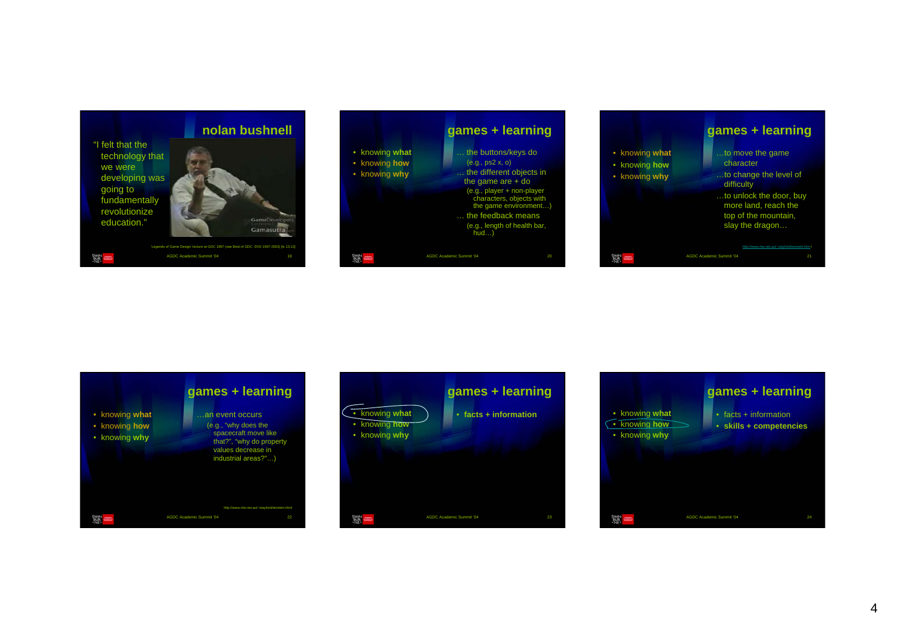









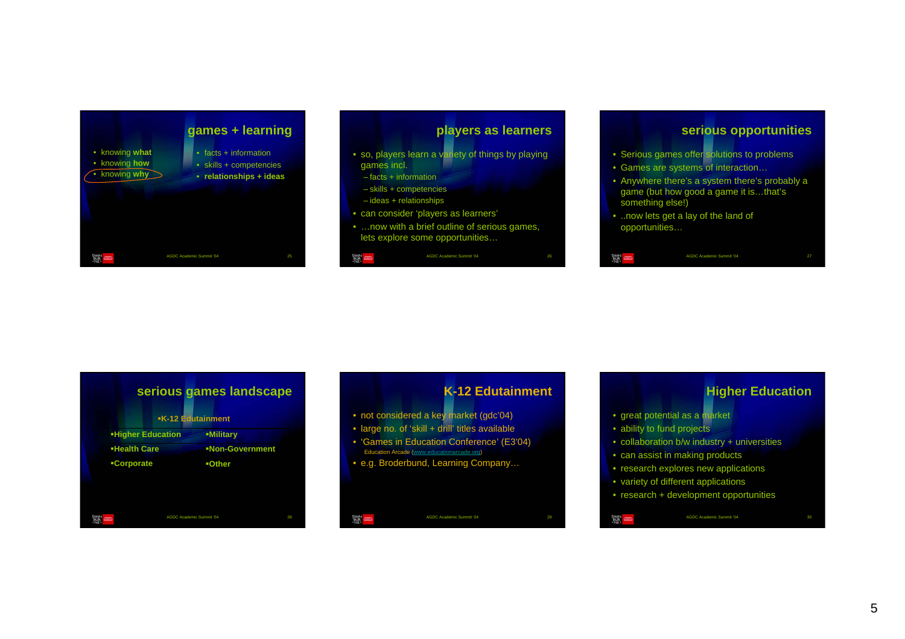



### **serious opportunities**

- Serious games offer solutions to problems
- Games are systems of interaction…
- Anywhere there's a system there's probably a game (but how good a game it is…that's something else!)

AGDC Academic Summit '04

• ..now lets get a lay of the land of opportunities…

W =

|                          | serious games landscape<br><b>-K-12 Edutainment</b> |
|--------------------------|-----------------------------------------------------|
| <b>-Higher Education</b> | -Military                                           |
| <b>Health Care</b>       | <b>-Non-Government</b>                              |
| <b>-Corporate</b>        | <b>-Other</b>                                       |
|                          |                                                     |
|                          | <b>AGDC Academic Summit '04</b><br>28               |

# **K-12 Edutainment**• not considered a key market (gdc'04) • large no. of 'skill + drill' titles available • 'Games in Education Conference' (E3'04) Education Arcade (www.educationarcade.org) • e.g. Broderbund, Learning Company… 翼兽 AGDC Academic Summit '04

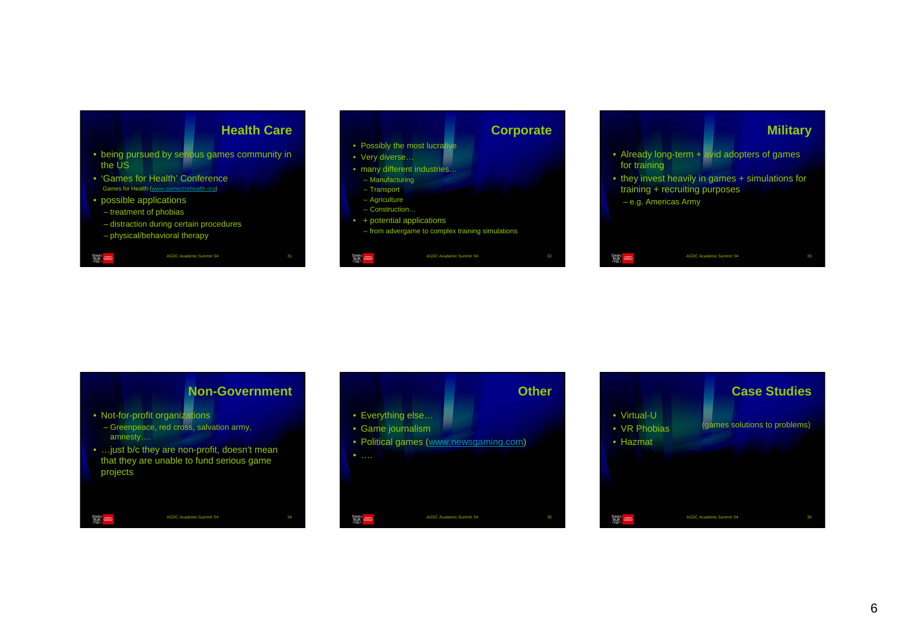







– Greenpeace, red cross, salvation army, amnesty….

翼

• …just b/c they are non-profit, doesn't mean that they are unable to fund serious game projects

AGDC Academic Summit '04

**Other**• Everything else… • Game journalism • Political games (www.newsgaming.com) • …. 溪川 AGDC Academic Summit '04

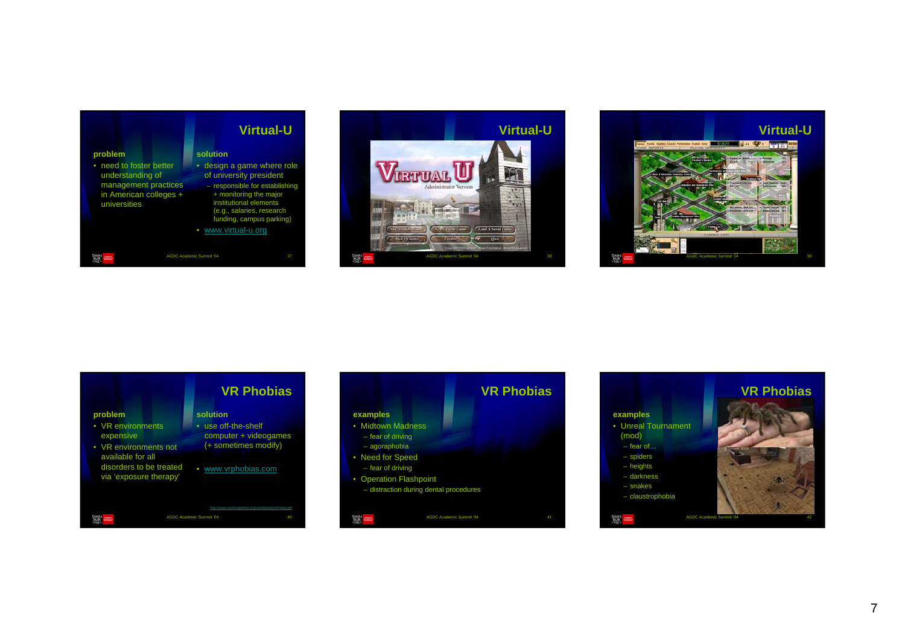





|                                                                                                                                              | <b>VR Phobias</b>                                                                                          |
|----------------------------------------------------------------------------------------------------------------------------------------------|------------------------------------------------------------------------------------------------------------|
| problem<br>• VR environments<br>expensive<br>• VR environments not<br>available for all<br>disorders to be treated<br>via 'exposure therapy' | solution<br>use off-the-shelf<br>٠<br>computer + videogames<br>(+ sometimes modify)<br>• www.vrphobias.com |
|                                                                                                                                              | http://www.seriousgames.org/caseblasts/ymbobia.pol<br><b>AGDC Academic Summit '04</b><br>40                |

|                                  |                                        | <b>VR Phobias</b> |
|----------------------------------|----------------------------------------|-------------------|
| examples                         |                                        |                   |
| • Midtown Madness                |                                        |                   |
| - fear of driving                |                                        |                   |
| - agoraphobia                    |                                        |                   |
| • Need for Speed                 |                                        |                   |
| - fear of driving                |                                        |                   |
| <b>Operation Flashpoint</b><br>۰ |                                        |                   |
|                                  | - distraction during dental procedures |                   |
|                                  |                                        |                   |
|                                  | <b>AGDC Academic Summit '04</b>        | 41                |

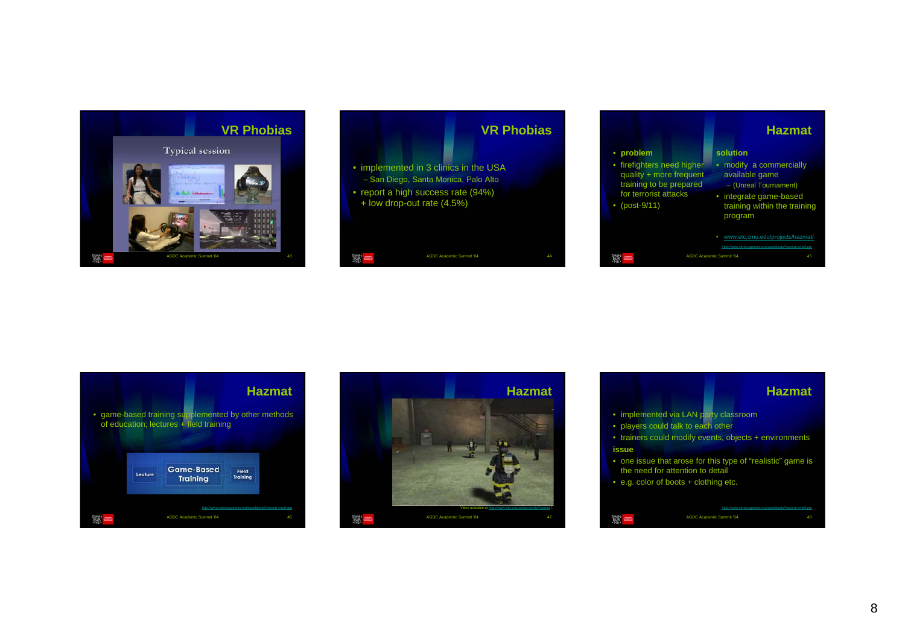









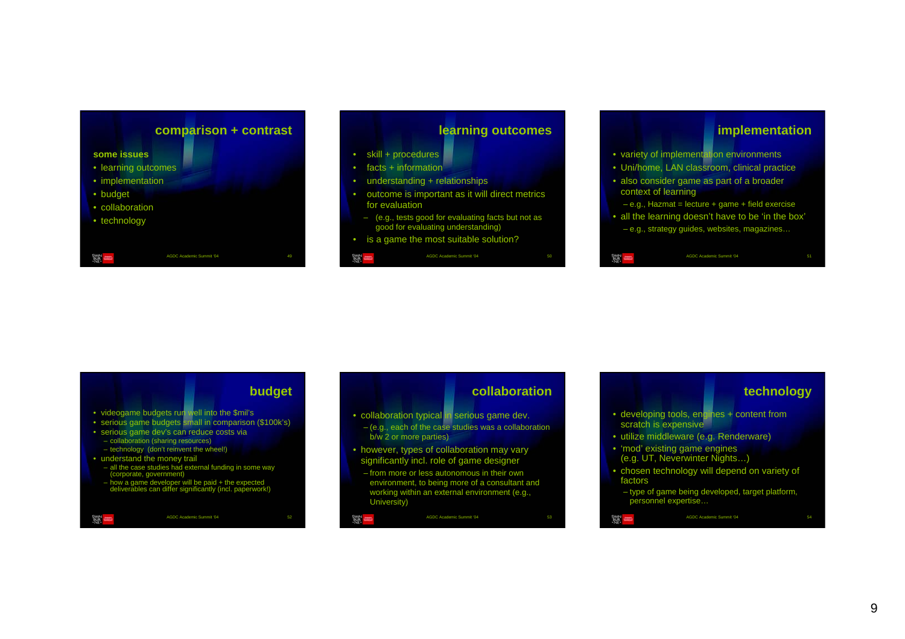



- skill + procedures
- facts + information
- understanding + relationships
- outcome is important as it will direct metrics for evaluation
- (e.g., tests good for evaluating facts but not as good for evaluating understanding)

AGDC Academic Summit '04

• is a game the most suitable solution?

髪





### **collaboration**

AGDC Academic Summit '04 53

- collaboration typical in serious game dev.
- (e.g., each of the case studies was a collaboration b/w 2 or more parties)
- however, types of collaboration may vary significantly incl. role of game designer
- from more or less autonomous in their own environment, to being more of a consultant and working within an external environment (e.g., University)

# **technology**

- developing tools, engines + content from scratch is expensive
- utilize middleware (e.g. Renderware)
- 'mod' existing game engines (e.g. UT, Neverwinter Nights…)
- chosen technology will depend on variety of factors
- type of game being developed, target platform, personnel expertise…

AGDC Academic Summit '04 建自